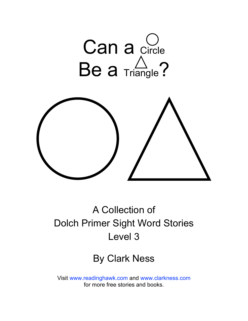

## A Collection of Dolch Primer Sight Word Stories Level 3

### By Clark Ness

Visit [www.readinghawk.com](http://www.readinghawk.com) and [www.clarkness.com](http://www.clarkness.com) for more free stories and books.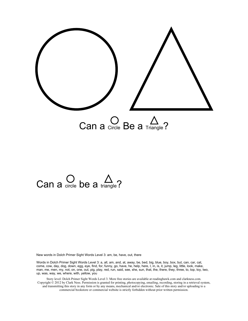

## Can a  $\bigcirc$  be a triangle?

New words in Dolch Primer Sight Words Level 3: am, be, have, out, there

Words in Dolch Primer Sight Words Level 3: a, all, am, and, at, away, be, bed, big, blue, boy, box, but, can, car, cat, come, cow, day, dog, down, egg, eye, find, for, funny, go, have, he, help, here, I, in, is, it, jump, leg, little, look, make, man, me, men, my, not, on, one, out, pig, play, red, run, said, see, she, sun, that, the, there, they, three, to, top, toy, two, up, was, way, we, where, with, yellow, you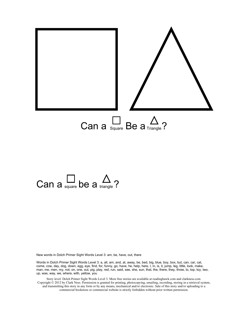

# Can a square be a  $\sum_{\text{triangle}}$ ?

New words in Dolch Primer Sight Words Level 3: am, be, have, out, there

Words in Dolch Primer Sight Words Level 3: a, all, am, and, at, away, be, bed, big, blue, boy, box, but, can, car, cat, come, cow, day, dog, down, egg, eye, find, for, funny, go, have, he, help, here, I, in, is, it, jump, leg, little, look, make, man, me, men, my, not, on, one, out, pig, play, red, run, said, see, she, sun, that, the, there, they, three, to, top, toy, two, up, was, way, we, where, with, yellow, you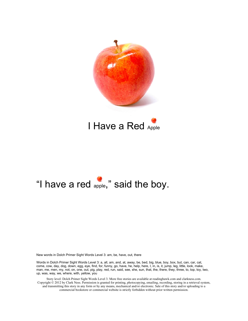



## "I have a red apple," said the boy.

New words in Dolch Primer Sight Words Level 3: am, be, have, out, there

Words in Dolch Primer Sight Words Level 3: a, all, am, and, at, away, be, bed, big, blue, boy, box, but, can, car, cat, come, cow, day, dog, down, egg, eye, find, for, funny, go, have, he, help, here, I, in, is, it, jump, leg, little, look, make, man, me, men, my, not, on, one, out, pig, play, red, run, said, see, she, sun, that, the, there, they, three, to, top, toy, two, up, was, way, we, where, with, yellow, you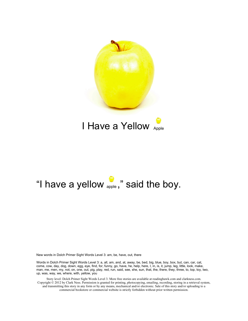

## "I have a yellow  $_{\text{apple}}$ ," said the boy.

New words in Dolch Primer Sight Words Level 3: am, be, have, out, there

Words in Dolch Primer Sight Words Level 3: a, all, am, and, at, away, be, bed, big, blue, boy, box, but, can, car, cat, come, cow, day, dog, down, egg, eye, find, for, funny, go, have, he, help, here, I, in, is, it, jump, leg, little, look, make, man, me, men, my, not, on, one, out, pig, play, red, run, said, see, she, sun, that, the, there, they, three, to, top, toy, two, up, was, way, we, where, with, yellow, you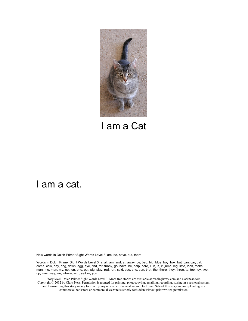

I am a Cat

#### I am a cat.

New words in Dolch Primer Sight Words Level 3: am, be, have, out, there

Words in Dolch Primer Sight Words Level 3: a, all, am, and, at, away, be, bed, big, blue, boy, box, but, can, car, cat, come, cow, day, dog, down, egg, eye, find, for, funny, go, have, he, help, here, I, in, is, it, jump, leg, little, look, make, man, me, men, my, not, on, one, out, pig, play, red, run, said, see, she, sun, that, the, there, they, three, to, top, toy, two, up, was, way, we, where, with, yellow, you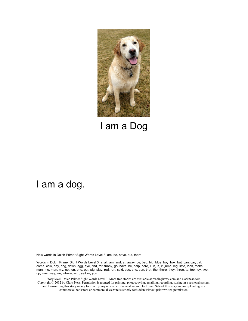

#### I am a Dog

#### I am a dog.

New words in Dolch Primer Sight Words Level 3: am, be, have, out, there

Words in Dolch Primer Sight Words Level 3: a, all, am, and, at, away, be, bed, big, blue, boy, box, but, can, car, cat, come, cow, day, dog, down, egg, eye, find, for, funny, go, have, he, help, here, I, in, is, it, jump, leg, little, look, make, man, me, men, my, not, on, one, out, pig, play, red, run, said, see, she, sun, that, the, there, they, three, to, top, toy, two, up, was, way, we, where, with, yellow, you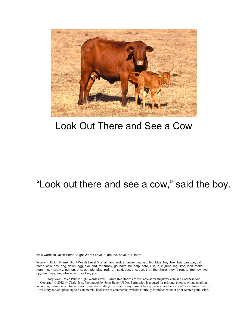

#### Look Out There and See a Cow

#### "Look out there and see a cow," said the boy.

New words in Dolch Primer Sight Words Level 3: am, be, have, out, there

Words in Dolch Primer Sight Words Level 3: a, all, am, and, at, away, be, bed, big, blue, boy, box, but, can, car, cat, come, cow, day, dog, down, egg, eye, find, for, funny, go, have, he, help, here, I, in, is, it, jump, leg, little, look, make, man, me, men, my, not, on, one, out, pig, play, red, run, said, see, she, sun, that, the, there, they, three, to, top, toy, two, up, was, way, we, where, with, yellow, you